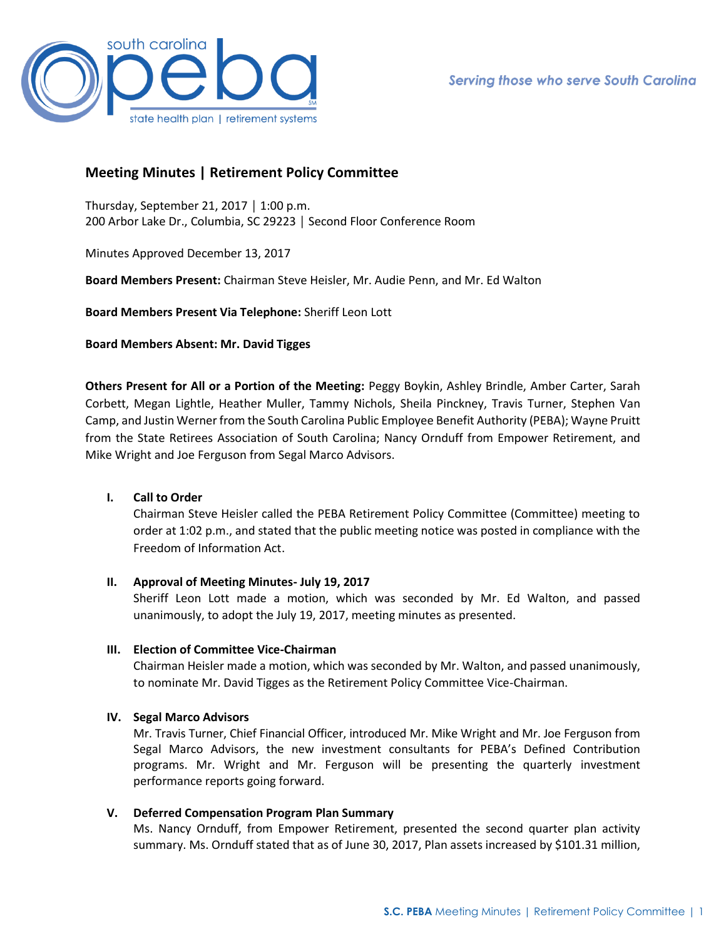

# **Meeting Minutes | Retirement Policy Committee**

Thursday, September 21, 2017 │ 1:00 p.m. 200 Arbor Lake Dr., Columbia, SC 29223 │ Second Floor Conference Room

Minutes Approved December 13, 2017

**Board Members Present:** Chairman Steve Heisler, Mr. Audie Penn, and Mr. Ed Walton

**Board Members Present Via Telephone:** Sheriff Leon Lott

**Board Members Absent: Mr. David Tigges** 

**Others Present for All or a Portion of the Meeting:** Peggy Boykin, Ashley Brindle, Amber Carter, Sarah Corbett, Megan Lightle, Heather Muller, Tammy Nichols, Sheila Pinckney, Travis Turner, Stephen Van Camp, and Justin Werner from the South Carolina Public Employee Benefit Authority (PEBA); Wayne Pruitt from the State Retirees Association of South Carolina; Nancy Ornduff from Empower Retirement, and Mike Wright and Joe Ferguson from Segal Marco Advisors.

## **I. Call to Order**

Chairman Steve Heisler called the PEBA Retirement Policy Committee (Committee) meeting to order at 1:02 p.m., and stated that the public meeting notice was posted in compliance with the Freedom of Information Act.

### **II. Approval of Meeting Minutes- July 19, 2017**

Sheriff Leon Lott made a motion, which was seconded by Mr. Ed Walton, and passed unanimously, to adopt the July 19, 2017, meeting minutes as presented.

### **III. Election of Committee Vice-Chairman**

Chairman Heisler made a motion, which was seconded by Mr. Walton, and passed unanimously, to nominate Mr. David Tigges as the Retirement Policy Committee Vice-Chairman.

### **IV. Segal Marco Advisors**

Mr. Travis Turner, Chief Financial Officer, introduced Mr. Mike Wright and Mr. Joe Ferguson from Segal Marco Advisors, the new investment consultants for PEBA's Defined Contribution programs. Mr. Wright and Mr. Ferguson will be presenting the quarterly investment performance reports going forward.

## **V. Deferred Compensation Program Plan Summary**

Ms. Nancy Ornduff, from Empower Retirement, presented the second quarter plan activity summary. Ms. Ornduff stated that as of June 30, 2017, Plan assets increased by \$101.31 million,